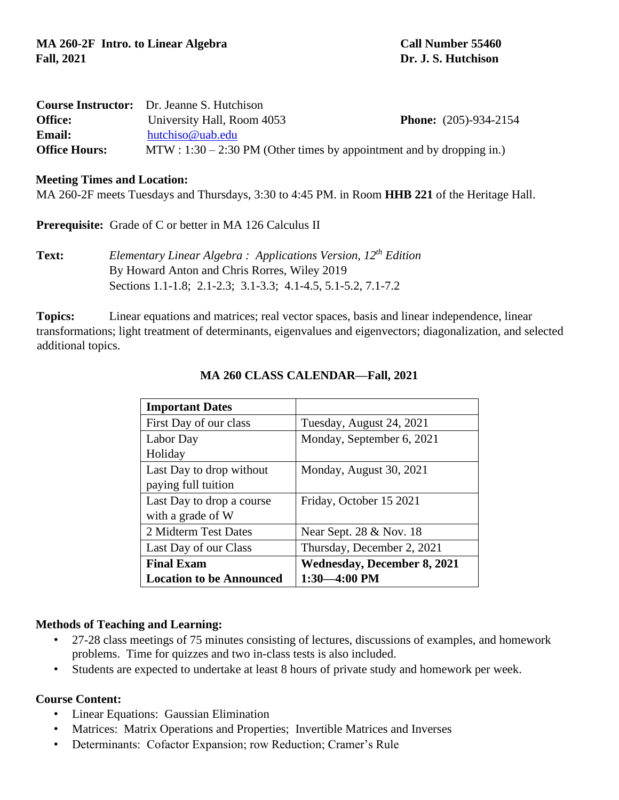|                      | <b>Course Instructor:</b> Dr. Jeanne S. Hutchison                      |                                |  |  |
|----------------------|------------------------------------------------------------------------|--------------------------------|--|--|
| <b>Office:</b>       | University Hall, Room 4053                                             | <b>Phone:</b> $(205)-934-2154$ |  |  |
| <b>Email:</b>        | hutchiso@uab.edu                                                       |                                |  |  |
| <b>Office Hours:</b> | $MTW: 1:30 - 2:30 PM$ (Other times by appointment and by dropping in.) |                                |  |  |

#### **Meeting Times and Location:**

MA 260-2F meets Tuesdays and Thursdays, 3:30 to 4:45 PM. in Room **HHB 221** of the Heritage Hall.

**Prerequisite:** Grade of C or better in MA 126 Calculus II

**Text:** *Elementary Linear Algebra : Applications Version, 12 th Edition*  By Howard Anton and Chris Rorres, Wiley 2019 Sections 1.1-1.8; 2.1-2.3; 3.1-3.3; 4.1-4.5, 5.1-5.2, 7.1-7.2

**Topics:** Linear equations and matrices; real vector spaces, basis and linear independence, linear transformations; light treatment of determinants, eigenvalues and eigenvectors; diagonalization, and selected additional topics.

| <b>Important Dates</b>          |                                    |  |  |
|---------------------------------|------------------------------------|--|--|
| First Day of our class          | Tuesday, August 24, 2021           |  |  |
| Labor Day                       | Monday, September 6, 2021          |  |  |
| Holiday                         |                                    |  |  |
| Last Day to drop without        | Monday, August 30, 2021            |  |  |
| paying full tuition             |                                    |  |  |
| Last Day to drop a course       | Friday, October 15 2021            |  |  |
| with a grade of W               |                                    |  |  |
| 2 Midterm Test Dates            | Near Sept. 28 & Nov. 18            |  |  |
| Last Day of our Class           | Thursday, December 2, 2021         |  |  |
| <b>Final Exam</b>               | <b>Wednesday, December 8, 2021</b> |  |  |
| <b>Location to be Announced</b> | $1:30 - 4:00$ PM                   |  |  |

### **MA 260 CLASS CALENDAR—Fall, 2021**

### **Methods of Teaching and Learning:**

- 27-28 class meetings of 75 minutes consisting of lectures, discussions of examples, and homework problems. Time for quizzes and two in-class tests is also included.
- Students are expected to undertake at least 8 hours of private study and homework per week.

### **Course Content:**

- Linear Equations: Gaussian Elimination
- Matrices: Matrix Operations and Properties; Invertible Matrices and Inverses
- Determinants: Cofactor Expansion; row Reduction; Cramer's Rule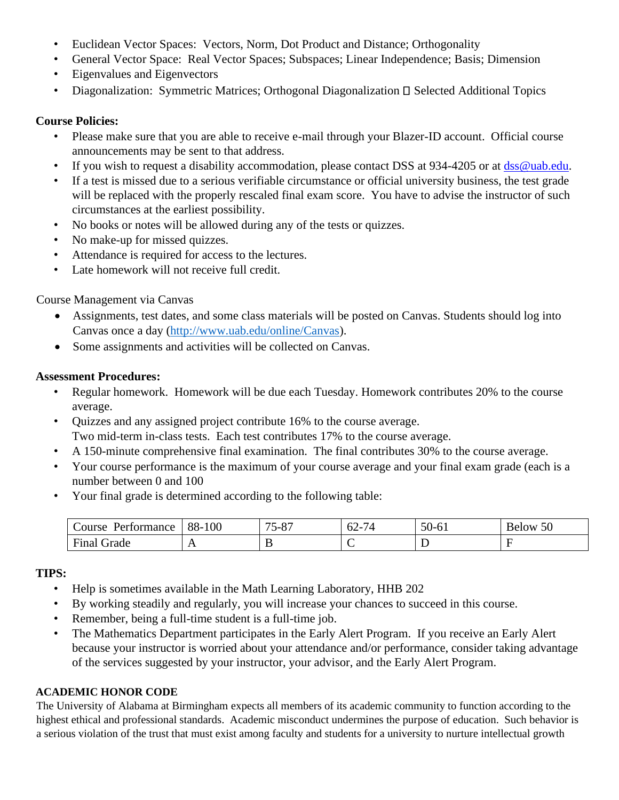- Euclidean Vector Spaces: Vectors, Norm, Dot Product and Distance; Orthogonality
- General Vector Space: Real Vector Spaces; Subspaces; Linear Independence; Basis; Dimension
- Eigenvalues and Eigenvectors
- Diagonalization: Symmetric Matrices; Orthogonal Diagonalization  $\Box$  Selected Additional Topics

### **Course Policies:**

- Please make sure that you are able to receive e-mail through your Blazer-ID account. Official course announcements may be sent to that address.
- If you wish to request a disability accommodation, please contact DSS at 934-4205 or at  $\frac{ds}{ds}\$  uab.edu.
- If a test is missed due to a serious verifiable circumstance or official university business, the test grade will be replaced with the properly rescaled final exam score. You have to advise the instructor of such circumstances at the earliest possibility.
- No books or notes will be allowed during any of the tests or quizzes.
- No make-up for missed quizzes.
- Attendance is required for access to the lectures.
- Late homework will not receive full credit.

# Course Management via Canvas

- Assignments, test dates, and some class materials will be posted on Canvas. Students should log into Canvas once a day [\(http://www.uab.edu/online/Canvas\)](http://www.uab.edu/online/Canvas).
- Some assignments and activities will be collected on Canvas.

### **Assessment Procedures:**

- Regular homework. Homework will be due each Tuesday. Homework contributes 20% to the course average.
- Quizzes and any assigned project contribute 16% to the course average. Two mid-term in-class tests. Each test contributes 17% to the course average.
- A 150-minute comprehensive final examination. The final contributes 30% to the course average.
- Your course performance is the maximum of your course average and your final exam grade (each is a number between 0 and 100
- Your final grade is determined according to the following table:

| tormance<br>Course | 88-<br>100     | $\overline{a}$<br>$\Omega$<br>$1 - \alpha$<br>. v. | -<br>-^<br>. .<br>تے ت | $\epsilon$<br>JU-<br>-01 | $\epsilon$<br><b>Below</b><br>υU |
|--------------------|----------------|----------------------------------------------------|------------------------|--------------------------|----------------------------------|
| Fina<br>Grade      | $\overline{ }$ |                                                    |                        | ້                        |                                  |

# **TIPS:**

- Help is sometimes available in the Math Learning Laboratory, HHB 202
- By working steadily and regularly, you will increase your chances to succeed in this course.
- Remember, being a full-time student is a full-time job.
- The Mathematics Department participates in the Early Alert Program. If you receive an Early Alert because your instructor is worried about your attendance and/or performance, consider taking advantage of the services suggested by your instructor, your advisor, and the Early Alert Program.

# **ACADEMIC HONOR CODE**

The University of Alabama at Birmingham expects all members of its academic community to function according to the highest ethical and professional standards. Academic misconduct undermines the purpose of education. Such behavior is a serious violation of the trust that must exist among faculty and students for a university to nurture intellectual growth